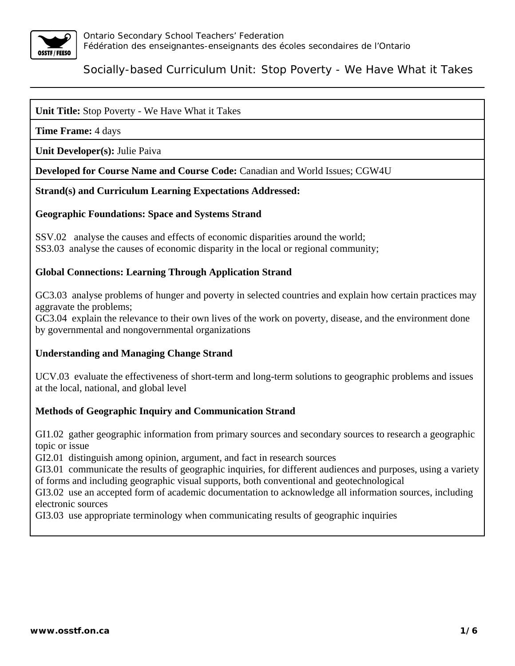

### **Unit Title:** Stop Poverty - We Have What it Takes

**Time Frame:** 4 days

**Unit Developer(s):** Julie Paiva

**Developed for Course Name and Course Code:** Canadian and World Issues; CGW4U

#### **Strand(s) and Curriculum Learning Expectations Addressed:**

#### **Geographic Foundations: Space and Systems Strand**

SSV.02 analyse the causes and effects of economic disparities around the world; SS3.03 analyse the causes of economic disparity in the local or regional community;

### **Global Connections: Learning Through Application Strand**

GC3.03 analyse problems of hunger and poverty in selected countries and explain how certain practices may aggravate the problems;

GC3.04 explain the relevance to their own lives of the work on poverty, disease, and the environment done by governmental and nongovernmental organizations

### **Understanding and Managing Change Strand**

UCV.03 evaluate the effectiveness of short-term and long-term solutions to geographic problems and issues at the local, national, and global level

### **Methods of Geographic Inquiry and Communication Strand**

GI1.02 gather geographic information from primary sources and secondary sources to research a geographic topic or issue

GI2.01 distinguish among opinion, argument, and fact in research sources

GI3.01 communicate the results of geographic inquiries, for different audiences and purposes, using a variety of forms and including geographic visual supports, both conventional and geotechnological

GI3.02 use an accepted form of academic documentation to acknowledge all information sources, including electronic sources

GI3.03 use appropriate terminology when communicating results of geographic inquiries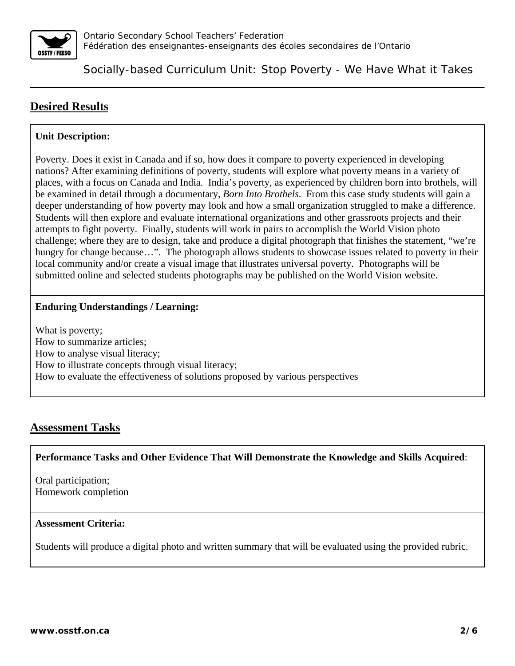

# **Desired Results**

### **Unit Description:**

Poverty. Does it exist in Canada and if so, how does it compare to poverty experienced in developing nations? After examining definitions of poverty, students will explore what poverty means in a variety of places, with a focus on Canada and India. India's poverty, as experienced by children born into brothels, will be examined in detail through a documentary, *Born Into Brothels*. From this case study students will gain a deeper understanding of how poverty may look and how a small organization struggled to make a difference. Students will then explore and evaluate international organizations and other grassroots projects and their attempts to fight poverty. Finally, students will work in pairs to accomplish the World Vision photo challenge; where they are to design, take and produce a digital photograph that finishes the statement, "we're hungry for change because...". The photograph allows students to showcase issues related to poverty in their local community and/or create a visual image that illustrates universal poverty. Photographs will be submitted online and selected students photographs may be published on the World Vision website.

### **Enduring Understandings / Learning:**

What is poverty; How to summarize articles; How to analyse visual literacy; How to illustrate concepts through visual literacy; How to evaluate the effectiveness of solutions proposed by various perspectives

## **Assessment Tasks**

**Performance Tasks and Other Evidence That Will Demonstrate the Knowledge and Skills Acquired**:

Oral participation; Homework completion

### **Assessment Criteria:**

Students will produce a digital photo and written summary that will be evaluated using the provided rubric.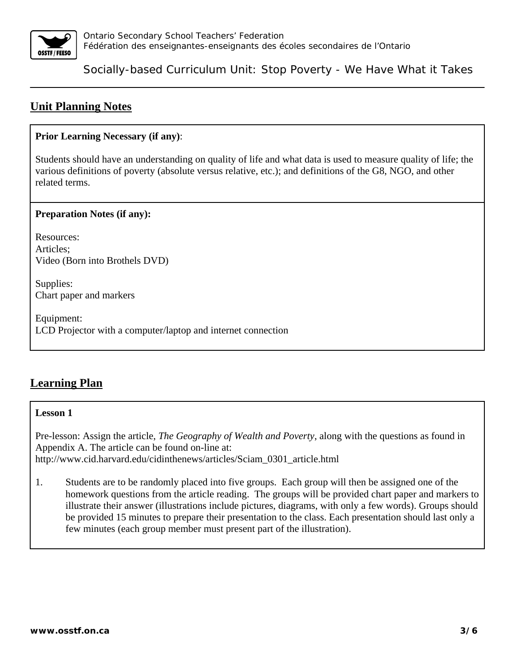

## **Unit Planning Notes**

### **Prior Learning Necessary (if any)**:

Students should have an understanding on quality of life and what data is used to measure quality of life; the various definitions of poverty (absolute versus relative, etc.); and definitions of the G8, NGO, and other related terms.

### **Preparation Notes (if any):**

Resources: Articles; Video (Born into Brothels DVD)

Supplies: Chart paper and markers

Equipment: LCD Projector with a computer/laptop and internet connection

## **Learning Plan**

### **Lesson 1**

Pre-lesson: Assign the article, *The Geography of Wealth and Poverty*, along with the questions as found in Appendix A. The article can be found on-line at: http://www.cid.harvard.edu/cidinthenews/articles/Sciam\_0301\_article.html

1. Students are to be randomly placed into five groups. Each group will then be assigned one of the homework questions from the article reading. The groups will be provided chart paper and markers to illustrate their answer (illustrations include pictures, diagrams, with only a few words). Groups should be provided 15 minutes to prepare their presentation to the class. Each presentation should last only a few minutes (each group member must present part of the illustration).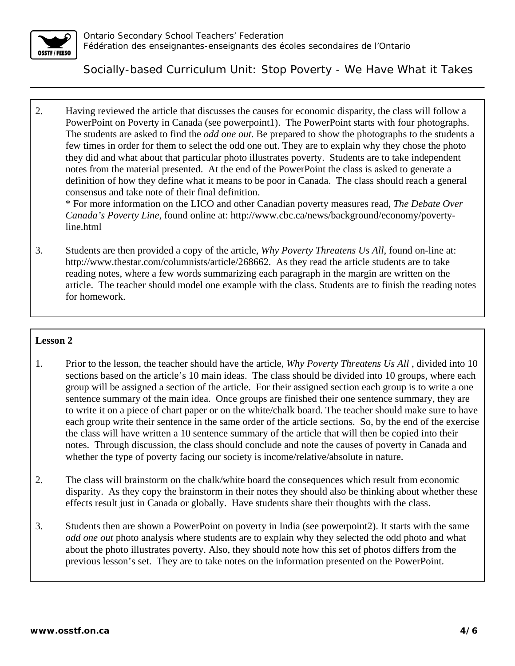

2. Having reviewed the article that discusses the causes for economic disparity, the class will follow a PowerPoint on Poverty in Canada (see powerpoint1). The PowerPoint starts with four photographs. The students are asked to find the *odd one out*. Be prepared to show the photographs to the students a few times in order for them to select the odd one out. They are to explain why they chose the photo they did and what about that particular photo illustrates poverty. Students are to take independent notes from the material presented. At the end of the PowerPoint the class is asked to generate a definition of how they define what it means to be poor in Canada. The class should reach a general consensus and take note of their final definition.

\* For more information on the LICO and other Canadian poverty measures read, *The Debate Over Canada's Poverty Line*, found online at: http://www.cbc.ca/news/background/economy/povertyline.html

3. Students are then provided a copy of the article, *Why Poverty Threatens Us All*, found on-line at: http://www.thestar.com/columnists/article/268662. As they read the article students are to take reading notes, where a few words summarizing each paragraph in the margin are written on the article. The teacher should model one example with the class. Students are to finish the reading notes for homework.

### **Lesson 2**

- 1. Prior to the lesson, the teacher should have the article, *Why Poverty Threatens Us All* , divided into 10 sections based on the article's 10 main ideas. The class should be divided into 10 groups, where each group will be assigned a section of the article. For their assigned section each group is to write a one sentence summary of the main idea. Once groups are finished their one sentence summary, they are to write it on a piece of chart paper or on the white/chalk board. The teacher should make sure to have each group write their sentence in the same order of the article sections. So, by the end of the exercise the class will have written a 10 sentence summary of the article that will then be copied into their notes. Through discussion, the class should conclude and note the causes of poverty in Canada and whether the type of poverty facing our society is income/relative/absolute in nature.
- 2. The class will brainstorm on the chalk/white board the consequences which result from economic disparity. As they copy the brainstorm in their notes they should also be thinking about whether these effects result just in Canada or globally. Have students share their thoughts with the class.
- 3. Students then are shown a PowerPoint on poverty in India (see powerpoint2). It starts with the same *odd one out* photo analysis where students are to explain why they selected the odd photo and what about the photo illustrates poverty. Also, they should note how this set of photos differs from the previous lesson's set. They are to take notes on the information presented on the PowerPoint.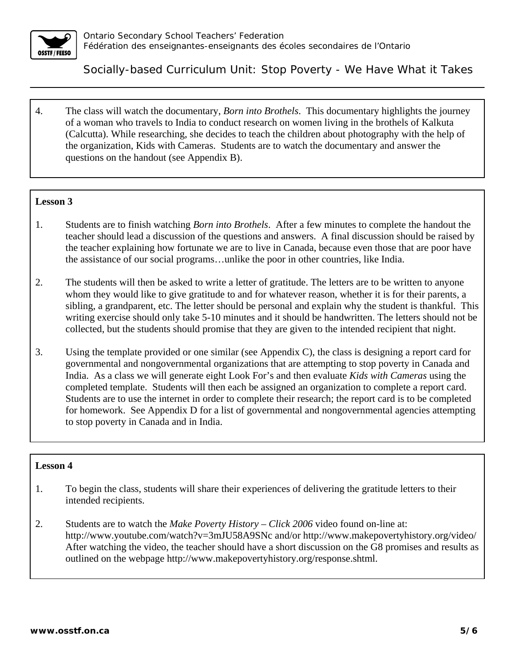

4. The class will watch the documentary, *Born into Brothels*. This documentary highlights the journey of a woman who travels to India to conduct research on women living in the brothels of Kalkuta (Calcutta). While researching, she decides to teach the children about photography with the help of the organization, Kids with Cameras. Students are to watch the documentary and answer the questions on the handout (see Appendix B).

### **Lesson 3**

- 1. Students are to finish watching *Born into Brothels*. After a few minutes to complete the handout the teacher should lead a discussion of the questions and answers. A final discussion should be raised by the teacher explaining how fortunate we are to live in Canada, because even those that are poor have the assistance of our social programs…unlike the poor in other countries, like India.
- 2. The students will then be asked to write a letter of gratitude. The letters are to be written to anyone whom they would like to give gratitude to and for whatever reason, whether it is for their parents, a sibling, a grandparent, etc. The letter should be personal and explain why the student is thankful. This writing exercise should only take 5-10 minutes and it should be handwritten. The letters should not be collected, but the students should promise that they are given to the intended recipient that night.
- 3. Using the template provided or one similar (see Appendix C), the class is designing a report card for governmental and nongovernmental organizations that are attempting to stop poverty in Canada and India. As a class we will generate eight Look For's and then evaluate *Kids with Cameras* using the completed template. Students will then each be assigned an organization to complete a report card. Students are to use the internet in order to complete their research; the report card is to be completed for homework. See Appendix D for a list of governmental and nongovernmental agencies attempting to stop poverty in Canada and in India.

#### **Lesson 4**

- 1. To begin the class, students will share their experiences of delivering the gratitude letters to their intended recipients.
- 2. Students are to watch the *Make Poverty History Click 2006* video found on-line at: http://www.youtube.com/watch?v=3mJU58A9SNc and/or http://www.makepovertyhistory.org/video/ After watching the video, the teacher should have a short discussion on the G8 promises and results as outlined on the webpage http://www.makepovertyhistory.org/response.shtml.